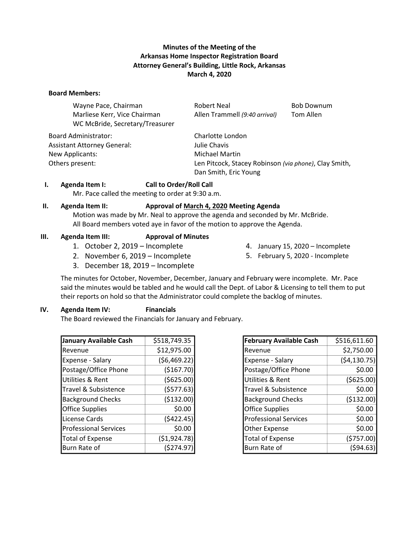# **Minutes of the Meeting of the Arkansas Home Inspector Registration Board Attorney General's Building, Little Rock, Arkansas March 4, 2020**

#### **Board Members:**

| Wayne Pace, Chairman            | <b>Robert Neal</b>                                    | <b>Bob Downum</b> |
|---------------------------------|-------------------------------------------------------|-------------------|
| Marliese Kerr, Vice Chairman    | Allen Trammell (9:40 arrival)                         | Tom Allen         |
| WC McBride, Secretary/Treasurer |                                                       |                   |
| <b>Board Administrator:</b>     | Charlotte London                                      |                   |
| Assistant Attorney General:     | Julie Chavis                                          |                   |
| New Applicants:                 | <b>Michael Martin</b>                                 |                   |
| Others present:                 | Len Pitcock, Stacey Robinson (via phone), Clay Smith, |                   |
|                                 | Dan Smith, Eric Young                                 |                   |

#### **I. Agenda Item I: Call to Order/Roll Call**

Mr. Pace called the meeting to order at 9:30 a.m.

#### **II. Agenda Item II: Approval of March 4, 2020 Meeting Agenda**

Motion was made by Mr. Neal to approve the agenda and seconded by Mr. McBride. All Board members voted aye in favor of the motion to approve the Agenda.

### **III. Agenda Item III: Approval of Minutes**

- 1. October 2, 2019 Incomplete
- 2. November 6, 2019 Incomplete
- 3. December 18, 2019 Incomplete
- 4. January 15, 2020 Incomplete
- 5. February 5, 2020 Incomplete
- The minutes for October, November, December, January and February were incomplete. Mr. Pace said the minutes would be tabled and he would call the Dept. of Labor & Licensing to tell them to put their reports on hold so that the Administrator could complete the backlog of minutes.

### **IV. Agenda Item IV: Financials**

The Board reviewed the Financials for January and February.

| January Available Cash       | \$518,749.35  |
|------------------------------|---------------|
| Revenue                      | \$12,975.00   |
| Expense - Salary             | (56, 469.22)  |
| Postage/Office Phone         | (\$167.70)    |
| <b>Utilities &amp; Rent</b>  | ( \$625.00)   |
| Travel & Subsistence         | (5577.63)     |
| <b>Background Checks</b>     | (\$132.00)    |
| <b>Office Supplies</b>       | \$0.00        |
| License Cards                | (5422.45)     |
| <b>Professional Services</b> | \$0.00        |
| <b>Total of Expense</b>      | ( \$1,924.78) |
| Burn Rate of                 | (5274.97      |

| <b>February Available Cash</b> | \$516,611.60 |
|--------------------------------|--------------|
| Revenue                        | \$2,750.00   |
| Expense - Salary               | (54, 130.75) |
| Postage/Office Phone           | \$0.00       |
| <b>Utilities &amp; Rent</b>    | ( \$625.00)  |
| Travel & Subsistence           | \$0.00       |
| <b>Background Checks</b>       | (\$132.00)   |
| <b>Office Supplies</b>         | \$0.00       |
| <b>Professional Services</b>   | \$0.00       |
| <b>Other Expense</b>           | \$0.00       |
| <b>Total of Expense</b>        | (5757.00)    |
| Burn Rate of                   | (\$94.63     |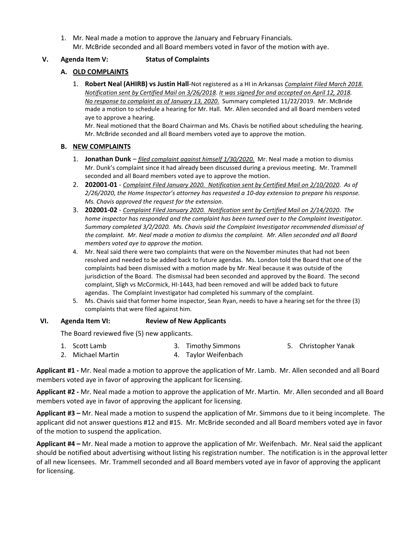1. Mr. Neal made a motion to approve the January and February Financials. Mr. McBride seconded and all Board members voted in favor of the motion with aye.

# **V. Agenda Item V: Status of Complaints**

# **A. OLD COMPLAINTS**

1. **Robert Neal (AHIRB) vs Justin Hall**-Not registered as a HI in Arkansas *Complaint Filed March 2018. Notification sent by Certified Mail on 3/26/2018*. *It was signed for and accepted on April 12, 2018. No response to complaint as of January 13, 2020*. Summary completed 11/22/2019. Mr. McBride made a motion to schedule a hearing for Mr. Hall. Mr. Allen seconded and all Board members voted aye to approve a hearing.

Mr. Neal motioned that the Board Chairman and Ms. Chavis be notified about scheduling the hearing. Mr. McBride seconded and all Board members voted aye to approve the motion.

### **B. NEW COMPLAINTS**

- 1. **Jonathan Dunk** *filed complaint against himself 1/30/2020.* Mr. Neal made a motion to dismiss Mr. Dunk's complaint since it had already been discussed during a previous meeting. Mr. Trammell seconded and all Board members voted aye to approve the motion.
- 2. **202001-01** *Complaint Filed January 2020. Notification sent by Certified Mail on 2/10/2020*. *As of 2/26/2020, the Home Inspector's attorney has requested a 10-day extension to prepare his response. Ms. Chavis approved the request for the extension.*
- 3. **202001-02** *Complaint Filed January 2020. Notification sent by Certified Mail on 2/14/2020*. *The home inspector has responded and the complaint has been turned over to the Complaint Investigator. Summary completed 3/2/2020. Ms. Chavis said the Complaint Investigator recommended dismissal of the complaint. Mr. Neal made a motion to dismiss the complaint. Mr. Allen seconded and all Board members voted aye to approve the motion.*
- 4. Mr. Neal said there were two complaints that were on the November minutes that had not been resolved and needed to be added back to future agendas. Ms. London told the Board that one of the complaints had been dismissed with a motion made by Mr. Neal because it was outside of the jurisdiction of the Board. The dismissal had been seconded and approved by the Board. The second complaint, Sligh vs McCormick, HI-1443, had been removed and will be added back to future agendas. The Complaint Investigator had completed his summary of the complaint.
- 5. Ms. Chavis said that former home inspector, Sean Ryan, needs to have a hearing set for the three (3) complaints that were filed against him.

# **VI. Agenda Item VI: Review of New Applicants**

The Board reviewed five (5) new applicants.

- 1. Scott Lamb 3. Timothy Simmons 5. Christopher Yanak
- 2. Michael Martin 4. Taylor Weifenbach

**Applicant #1 -** Mr. Neal made a motion to approve the application of Mr. Lamb. Mr. Allen seconded and all Board members voted aye in favor of approving the applicant for licensing.

**Applicant #2 -** Mr. Neal made a motion to approve the application of Mr. Martin. Mr. Allen seconded and all Board members voted aye in favor of approving the applicant for licensing.

**Applicant #3 –** Mr. Neal made a motion to suspend the application of Mr. Simmons due to it being incomplete. The applicant did not answer questions #12 and #15. Mr. McBride seconded and all Board members voted aye in favor of the motion to suspend the application.

**Applicant #4 –** Mr. Neal made a motion to approve the application of Mr. Weifenbach. Mr. Neal said the applicant should be notified about advertising without listing his registration number. The notification is in the approval letter of all new licensees. Mr. Trammell seconded and all Board members voted aye in favor of approving the applicant for licensing.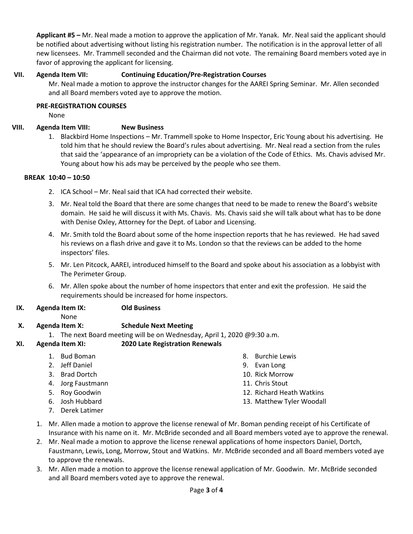**Applicant #5 –** Mr. Neal made a motion to approve the application of Mr. Yanak. Mr. Neal said the applicant should be notified about advertising without listing his registration number. The notification is in the approval letter of all new licensees. Mr. Trammell seconded and the Chairman did not vote. The remaining Board members voted aye in favor of approving the applicant for licensing.

# **VII. Agenda Item VII: Continuing Education/Pre-Registration Courses**

Mr. Neal made a motion to approve the instructor changes for the AAREI Spring Seminar. Mr. Allen seconded and all Board members voted aye to approve the motion.

# **PRE-REGISTRATION COURSES**

None

# **VIII. Agenda Item VIII: New Business**

1. Blackbird Home Inspections – Mr. Trammell spoke to Home Inspector, Eric Young about his advertising. He told him that he should review the Board's rules about advertising. Mr. Neal read a section from the rules that said the 'appearance of an impropriety can be a violation of the Code of Ethics. Ms. Chavis advised Mr. Young about how his ads may be perceived by the people who see them.

# **BREAK 10:40 – 10:50**

- 2. ICA School Mr. Neal said that ICA had corrected their website.
- 3. Mr. Neal told the Board that there are some changes that need to be made to renew the Board's website domain. He said he will discuss it with Ms. Chavis. Ms. Chavis said she will talk about what has to be done with Denise Oxley, Attorney for the Dept. of Labor and Licensing.
- 4. Mr. Smith told the Board about some of the home inspection reports that he has reviewed. He had saved his reviews on a flash drive and gave it to Ms. London so that the reviews can be added to the home inspectors' files.
- 5. Mr. Len Pitcock, AAREI, introduced himself to the Board and spoke about his association as a lobbyist with The Perimeter Group.
- 6. Mr. Allen spoke about the number of home inspectors that enter and exit the profession. He said the requirements should be increased for home inspectors.
- **IX. Agenda Item IX: Old Business**
	- None

- **X. Agenda Item X: Schedule Next Meeting**
	- 1. The next Board meeting will be on Wednesday, April 1, 2020 @9:30 a.m.
- **XI. Agenda Item XI: 2020 Late Registration Renewals**
	- 1. Bud Boman
	- 2. Jeff Daniel
	- 3. Brad Dortch
	- 4. Jorg Faustmann
	- 5. Roy Goodwin
	- 6. Josh Hubbard
	- 7. Derek Latimer
	- 1. Mr. Allen made a motion to approve the license renewal of Mr. Boman pending receipt of his Certificate of Insurance with his name on it. Mr. McBride seconded and all Board members voted aye to approve the renewal.

8. Burchie Lewis 9. Evan Long 10. Rick Morrow 11. Chris Stout

12. Richard Heath Watkins 13. Matthew Tyler Woodall

- 2. Mr. Neal made a motion to approve the license renewal applications of home inspectors Daniel, Dortch, Faustmann, Lewis, Long, Morrow, Stout and Watkins. Mr. McBride seconded and all Board members voted aye to approve the renewals.
- 3. Mr. Allen made a motion to approve the license renewal application of Mr. Goodwin. Mr. McBride seconded and all Board members voted aye to approve the renewal.